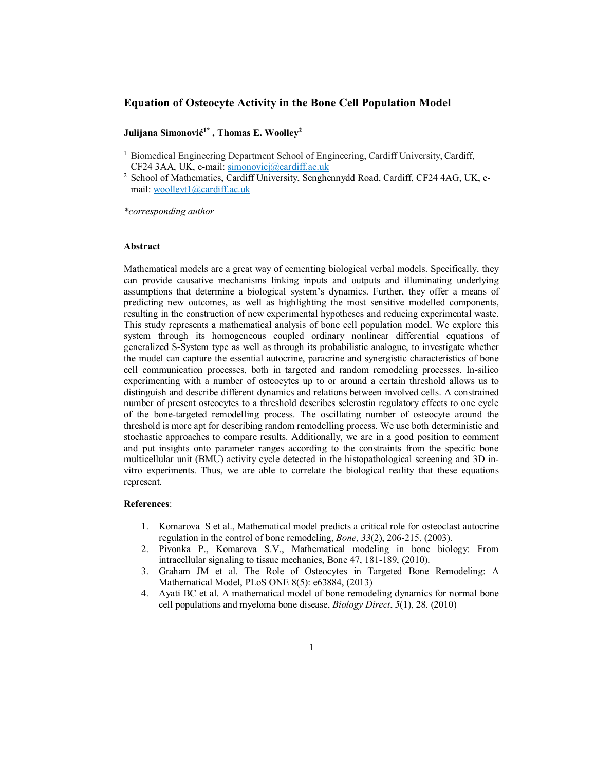## **Equation of Osteocyte Activity in the Bone Cell Population Model**

# **Julijana Simonovi1\* , Thomas E. Woolley2**

- <sup>1</sup> Biomedical Engineering Department School of Engineering, Cardiff University, Cardiff, CF24 3AA, UK, e-mail: simonovicj@cardiff.ac.uk
- <sup>2</sup> School of Mathematics, Cardiff University, Senghennydd Road, Cardiff, CF24 4AG, UK, email: woolleyt1@cardiff.ac.uk

*\*corresponding author* 

## **Abstract**

Mathematical models are a great way of cementing biological verbal models. Specifically, they can provide causative mechanisms linking inputs and outputs and illuminating underlying assumptions that determine a biological system's dynamics. Further, they offer a means of predicting new outcomes, as well as highlighting the most sensitive modelled components, resulting in the construction of new experimental hypotheses and reducing experimental waste. This study represents a mathematical analysis of bone cell population model. We explore this system through its homogeneous coupled ordinary nonlinear differential equations of generalized S-System type as well as through its probabilistic analogue, to investigate whether the model can capture the essential autocrine, paracrine and synergistic characteristics of bone cell communication processes, both in targeted and random remodeling processes. In-silico experimenting with a number of osteocytes up to or around a certain threshold allows us to distinguish and describe different dynamics and relations between involved cells. A constrained number of present osteocytes to a threshold describes sclerostin regulatory effects to one cycle of the bone-targeted remodelling process. The oscillating number of osteocyte around the threshold is more apt for describing random remodelling process. We use both deterministic and stochastic approaches to compare results. Additionally, we are in a good position to comment and put insights onto parameter ranges according to the constraints from the specific bone multicellular unit (BMU) activity cycle detected in the histopathological screening and 3D invitro experiments. Thus, we are able to correlate the biological reality that these equations represent.

# **References**:

- 1. Komarova S et al., Mathematical model predicts a critical role for osteoclast autocrine regulation in the control of bone remodeling, *Bone*, *33*(2), 206-215, (2003).
- 2. Pivonka P., Komarova S.V., Mathematical modeling in bone biology: From intracellular signaling to tissue mechanics, Bone 47, 181-189, (2010).
- 3. Graham JM et al. The Role of Osteocytes in Targeted Bone Remodeling: A Mathematical Model, PLoS ONE 8(5): e63884, (2013)
- 4. Ayati BC et al. A mathematical model of bone remodeling dynamics for normal bone cell populations and myeloma bone disease, *Biology Direct*, *5*(1), 28. (2010)